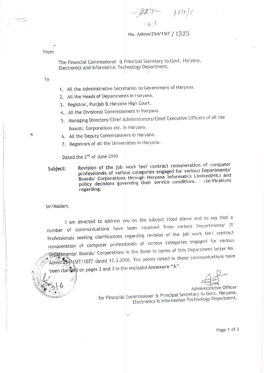$227 - 111/6$ 

No. Admn/254/1SIT / 1315

From

The Financial Commissioner & Principal Secretary to Govt. Haryana, Electronics and Information Technology Department.

To

- 1. All the Administrative Secretaries to Government of Haryana.
- 2. All the Heads of Departments in Haryana.
- 3. Registrar, Punjab & Haryana High Court.
- 4. All the Divisional Commissioners in Haryana.
- 5. Managing Directors/Chief Administrators/Chief Executive Officers of all the Boards, Corporations etc. in Haryana.
- 6. All the Deputy Commissioners in Haryana.
- 7. Registrars of all the Universities in Haryana.

Dated the 2<sup>nd</sup> of June 2010

Subject:

Revision of the job work fee/ contract remuneration of computer professionals of various categories engaged for various Departments/ Boards/ Corporations through Haryana Informatics Limited(HIL) and policy decisions governing their service conditions. - clarifications regarding.

Sir/Madam,

I am directed to address you on the subject cited above and to say that a number of communications have been received from various Departments/ IT Professionals seeking clarifications regarding revision of the job work fee/ contract remuneration of computer professionals of various categories engaged for various Depaltments/ Boards/ Corporations in the State in terms of this Department letter No. Admn725471SIT/1077 dated 17.3.2010. The points raised in these communications have been clarified on pages 2 and 3 in the enclosed Annexure "A".

Administrative Officer

for Financial Commissioner & Principal Secretary to Govt. Haryana, Electronics & Information Technology Department.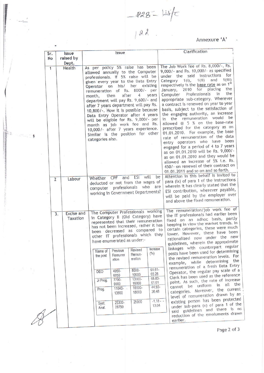$-228-1476$ 

Annexure 'A'

| Sr.<br>No              | <b>ssue</b><br>raised by      | <b>Issue</b>                                                                                                                                                                                                                                                                                                                                                                                                                                                                                                                                                                                     | Clarification                                                                                                                                                                                                                                                                                                                                                                                                                                                                                                                                                                                                                                                                                                                                                                                                                                                                            |
|------------------------|-------------------------------|--------------------------------------------------------------------------------------------------------------------------------------------------------------------------------------------------------------------------------------------------------------------------------------------------------------------------------------------------------------------------------------------------------------------------------------------------------------------------------------------------------------------------------------------------------------------------------------------------|------------------------------------------------------------------------------------------------------------------------------------------------------------------------------------------------------------------------------------------------------------------------------------------------------------------------------------------------------------------------------------------------------------------------------------------------------------------------------------------------------------------------------------------------------------------------------------------------------------------------------------------------------------------------------------------------------------------------------------------------------------------------------------------------------------------------------------------------------------------------------------------|
|                        | Dept.                         |                                                                                                                                                                                                                                                                                                                                                                                                                                                                                                                                                                                                  |                                                                                                                                                                                                                                                                                                                                                                                                                                                                                                                                                                                                                                                                                                                                                                                                                                                                                          |
| $\mathbf{1}$<br>$\sim$ | Health                        | As per policy 5% raise has been<br>allowed annually to the Computer<br>professionals. If 5% raise will be<br>given every year to the Data Entry<br>Operator on his/ her existing<br>remuneration of Rs. 8000/- per<br>4<br>after<br>years<br>then<br>month,<br>department will pay Rs. 9,600/- and<br>after 7 years department will pay Rs.<br>10,800/-. How it is possible because<br>Data Entry Operator after 4 years<br>will be eligible for Rs. 9,000/- per<br>month as job work fee and Rs.<br>10,000/- after 7 years experience.<br>Similar is the position for other<br>categories also. | The Job Work fee of Rs. 8,000/-, Rs.<br>9,000/- and Rs. 10,000/- as specified<br>under the said instructions<br>for<br>1(iii)<br>and<br>1(i)<br>$1(i)$ ,<br>Category<br>respectively is the base rate as on 1st<br>the<br>2010 for placing<br>January,<br>the<br>Professionals<br>in<br>Computer<br>appropriate sub-category. Wherever<br>a contract is renewed on year to year<br>basis, subject to the satisfaction of<br>the engaging authority, an increase<br>in the remuneration would<br>be<br>allowed @ 5 % on the base-rate<br>prescribed for the category as on<br>01.01.2010. For example, the base<br>rate of remuneration of the data<br>entry operators who have been<br>engaged for a period of 4 to 7 years<br>as on 01.01.2010 will be Rs. 9,000/-<br>as on 01.01.2010 and they would be<br>allowed an increase of 5% i.e. Rs.<br>450/- on renewal of their contract on |
|                        |                               |                                                                                                                                                                                                                                                                                                                                                                                                                                                                                                                                                                                                  | 01.01.2011 and so on and so forth.                                                                                                                                                                                                                                                                                                                                                                                                                                                                                                                                                                                                                                                                                                                                                                                                                                                       |
| $\overline{2}$         | Labour                        | will<br>ESI<br>Whether CPF<br>and<br>deducted or not from the wages of                                                                                                                                                                                                                                                                                                                                                                                                                                                                                                                           | Attention in this behalf is invited to<br>be<br>para (ix) of para 1 of the instructions                                                                                                                                                                                                                                                                                                                                                                                                                                                                                                                                                                                                                                                                                                                                                                                                  |
| 3.                     | <b>Excise and</b><br>Taxation | computer professionals who are<br>working in Government Departments?<br>The Computer Professionals working<br>in Category II (Old Category) have<br>represented that their remuneration<br>has not been increased, rather it has<br>been decreased as compared to                                                                                                                                                                                                                                                                                                                                | wherein it has clearly stated that the<br>ESI contribution, wherever payable,<br>will be paid by the employer over<br>and above the fixed remuneration.<br>The remuneration/job work fee of<br>the IT professionals had earlier been<br>fixed on an adhoc basis, partly<br>keeping in view the market trends. In<br>certain categories, these were much<br>lower. However, these have been                                                                                                                                                                                                                                                                                                                                                                                                                                                                                               |
|                        |                               | other IT professionals which they<br>have enumerated as under:-                                                                                                                                                                                                                                                                                                                                                                                                                                                                                                                                  | rationalized now under the new<br>guidelines, wherein the approximate                                                                                                                                                                                                                                                                                                                                                                                                                                                                                                                                                                                                                                                                                                                                                                                                                    |
|                        |                               | Increase<br>Revised<br>Previous<br>Name of<br>(°/5)<br>Remun-<br>Remuner<br>the post<br>eration<br>ation                                                                                                                                                                                                                                                                                                                                                                                                                                                                                         | linkages with counterpart regular<br>posts have been used for determining<br>the revised remuneration levels. For<br>the<br>example, while determining<br>remuneration of a fresh Data Entry                                                                                                                                                                                                                                                                                                                                                                                                                                                                                                                                                                                                                                                                                             |
|                        |                               | $61.61 -$<br>8000-<br>4950-<br><b>DEO</b><br>65.28<br>10000<br>6050<br>68.83-<br>13000-<br>7700-<br>Jr Prog.<br>61.61<br>16000<br>9900<br>44.92-<br>16000-<br>$11040 -$<br>Prog.<br>30.48<br>18000<br>13800                                                                                                                                                                                                                                                                                                                                                                                      | Operator, the regular pay scale of a<br>Clerk has been used as the reference<br>point. As such, the rate of increase<br>cannot be uniform in all the<br>categories. Moreover, the current<br>level of remuneration drawn by an                                                                                                                                                                                                                                                                                                                                                                                                                                                                                                                                                                                                                                                           |
|                        |                               | 25000<br>25300-<br>Syst.<br>13.04<br>28750<br>Anal.                                                                                                                                                                                                                                                                                                                                                                                                                                                                                                                                              | existing person has been protected<br>$-1.18 - -$<br>under sub-para (x) of para 1 of the<br>said guidelines and there is no<br>reduction of the emoluments drawn                                                                                                                                                                                                                                                                                                                                                                                                                                                                                                                                                                                                                                                                                                                         |

話<br>響く

 $\sim 22$  and  $\sim 10$ 

 $\label{eq:4.1} \frac{\alpha_2}{\pi^2} \stackrel{2}{\longrightarrow} \cdots \stackrel{2}{\longrightarrow} \frac{\pi}{3}$ 

Page 2 of 3